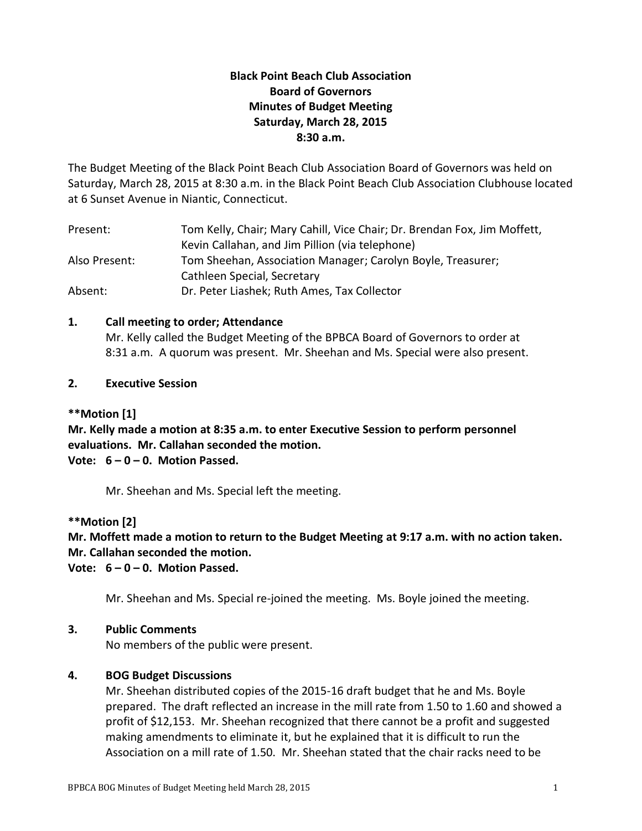# **Black Point Beach Club Association Board of Governors Minutes of Budget Meeting Saturday, March 28, 2015 8:30 a.m.**

The Budget Meeting of the Black Point Beach Club Association Board of Governors was held on Saturday, March 28, 2015 at 8:30 a.m. in the Black Point Beach Club Association Clubhouse located at 6 Sunset Avenue in Niantic, Connecticut.

| Present:      | Tom Kelly, Chair; Mary Cahill, Vice Chair; Dr. Brendan Fox, Jim Moffett, |
|---------------|--------------------------------------------------------------------------|
|               | Kevin Callahan, and Jim Pillion (via telephone)                          |
| Also Present: | Tom Sheehan, Association Manager; Carolyn Boyle, Treasurer;              |
|               | Cathleen Special, Secretary                                              |
| Absent:       | Dr. Peter Liashek; Ruth Ames, Tax Collector                              |

## **1. Call meeting to order; Attendance**

Mr. Kelly called the Budget Meeting of the BPBCA Board of Governors to order at 8:31 a.m. A quorum was present. Mr. Sheehan and Ms. Special were also present.

## **2. Executive Session**

## **\*\*Motion [1]**

**Mr. Kelly made a motion at 8:35 a.m. to enter Executive Session to perform personnel evaluations. Mr. Callahan seconded the motion. Vote: 6 – 0 – 0. Motion Passed.**

Mr. Sheehan and Ms. Special left the meeting.

### **\*\*Motion [2]**

# **Mr. Moffett made a motion to return to the Budget Meeting at 9:17 a.m. with no action taken. Mr. Callahan seconded the motion.**

**Vote: 6 – 0 – 0. Motion Passed.**

Mr. Sheehan and Ms. Special re-joined the meeting. Ms. Boyle joined the meeting.

### **3. Public Comments**

No members of the public were present.

# **4. BOG Budget Discussions**

Mr. Sheehan distributed copies of the 2015-16 draft budget that he and Ms. Boyle prepared. The draft reflected an increase in the mill rate from 1.50 to 1.60 and showed a profit of \$12,153. Mr. Sheehan recognized that there cannot be a profit and suggested making amendments to eliminate it, but he explained that it is difficult to run the Association on a mill rate of 1.50. Mr. Sheehan stated that the chair racks need to be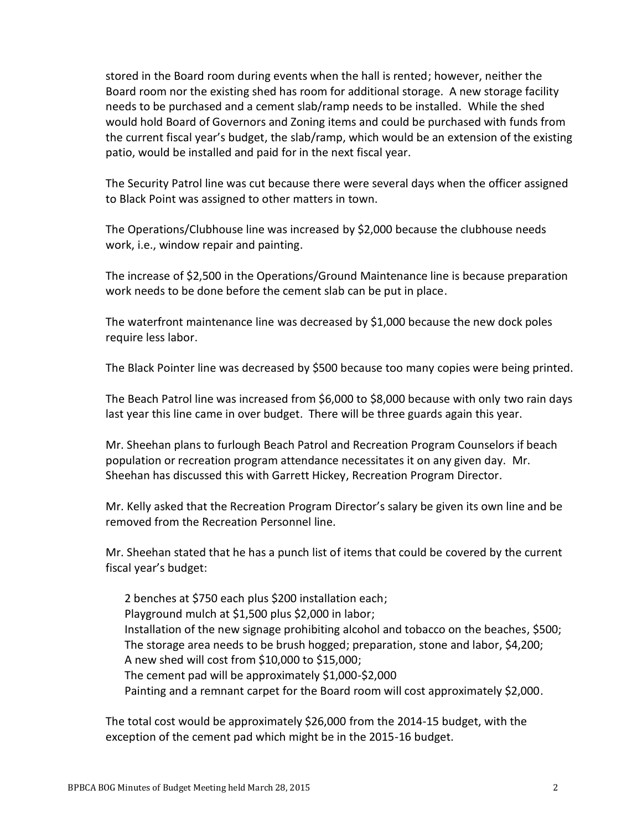stored in the Board room during events when the hall is rented; however, neither the Board room nor the existing shed has room for additional storage. A new storage facility needs to be purchased and a cement slab/ramp needs to be installed. While the shed would hold Board of Governors and Zoning items and could be purchased with funds from the current fiscal year's budget, the slab/ramp, which would be an extension of the existing patio, would be installed and paid for in the next fiscal year.

The Security Patrol line was cut because there were several days when the officer assigned to Black Point was assigned to other matters in town.

The Operations/Clubhouse line was increased by \$2,000 because the clubhouse needs work, i.e., window repair and painting.

The increase of \$2,500 in the Operations/Ground Maintenance line is because preparation work needs to be done before the cement slab can be put in place.

The waterfront maintenance line was decreased by \$1,000 because the new dock poles require less labor.

The Black Pointer line was decreased by \$500 because too many copies were being printed.

The Beach Patrol line was increased from \$6,000 to \$8,000 because with only two rain days last year this line came in over budget. There will be three guards again this year.

Mr. Sheehan plans to furlough Beach Patrol and Recreation Program Counselors if beach population or recreation program attendance necessitates it on any given day. Mr. Sheehan has discussed this with Garrett Hickey, Recreation Program Director.

Mr. Kelly asked that the Recreation Program Director's salary be given its own line and be removed from the Recreation Personnel line.

Mr. Sheehan stated that he has a punch list of items that could be covered by the current fiscal year's budget:

2 benches at \$750 each plus \$200 installation each; Playground mulch at \$1,500 plus \$2,000 in labor; Installation of the new signage prohibiting alcohol and tobacco on the beaches, \$500; The storage area needs to be brush hogged; preparation, stone and labor, \$4,200; A new shed will cost from \$10,000 to \$15,000; The cement pad will be approximately \$1,000-\$2,000 Painting and a remnant carpet for the Board room will cost approximately \$2,000.

The total cost would be approximately \$26,000 from the 2014-15 budget, with the exception of the cement pad which might be in the 2015-16 budget.